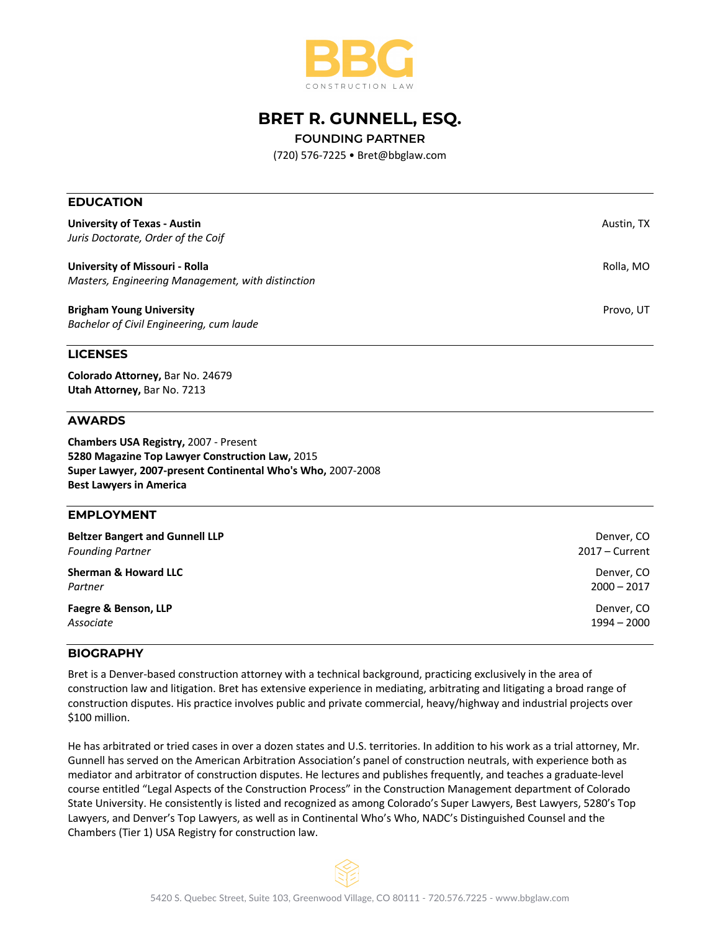

# **BRET R. GUNNELL, ESQ.**

**FOUNDING PARTNER**

(720) 576-7225 • Bret@bbglaw.com

| <b>EDUCATION</b>                                            |                  |
|-------------------------------------------------------------|------------------|
| <b>University of Texas - Austin</b>                         | Austin, TX       |
| Juris Doctorate, Order of the Coif                          |                  |
| University of Missouri - Rolla                              | Rolla, MO        |
| Masters, Engineering Management, with distinction           |                  |
| <b>Brigham Young University</b>                             | Provo, UT        |
| Bachelor of Civil Engineering, cum laude                    |                  |
| <b>LICENSES</b>                                             |                  |
| Colorado Attorney, Bar No. 24679                            |                  |
| Utah Attorney, Bar No. 7213                                 |                  |
| <b>AWARDS</b>                                               |                  |
| <b>Chambers USA Registry, 2007 - Present</b>                |                  |
| 5280 Magazine Top Lawyer Construction Law, 2015             |                  |
| Super Lawyer, 2007-present Continental Who's Who, 2007-2008 |                  |
| <b>Best Lawyers in America</b>                              |                  |
| <b>EMPLOYMENT</b>                                           |                  |
| <b>Beltzer Bangert and Gunnell LLP</b>                      | Denver, CO       |
| <b>Founding Partner</b>                                     | $2017 -$ Current |
| <b>Sherman &amp; Howard LLC</b>                             | Denver, CO       |
| Partner                                                     | $2000 - 2017$    |
| Faegre & Benson, LLP                                        | Denver, CO       |
| Associate                                                   | $1994 - 2000$    |

### **BIOGRAPHY**

Bret is a Denver-based construction attorney with a technical background, practicing exclusively in the area of construction law and litigation. Bret has extensive experience in mediating, arbitrating and litigating a broad range of construction disputes. His practice involves public and private commercial, heavy/highway and industrial projects over \$100 million.

He has arbitrated or tried cases in over a dozen states and U.S. territories. In addition to his work as a trial attorney, Mr. Gunnell has served on the American Arbitration Association's panel of construction neutrals, with experience both as mediator and arbitrator of construction disputes. He lectures and publishes frequently, and teaches a graduate-level course entitled "Legal Aspects of the Construction Process" in the Construction Management department of Colorado State University. He consistently is listed and recognized as among Colorado's Super Lawyers, Best Lawyers, 5280's Top Lawyers, and Denver's Top Lawyers, as well as in Continental Who's Who, NADC's Distinguished Counsel and the Chambers (Tier 1) USA Registry for construction law.

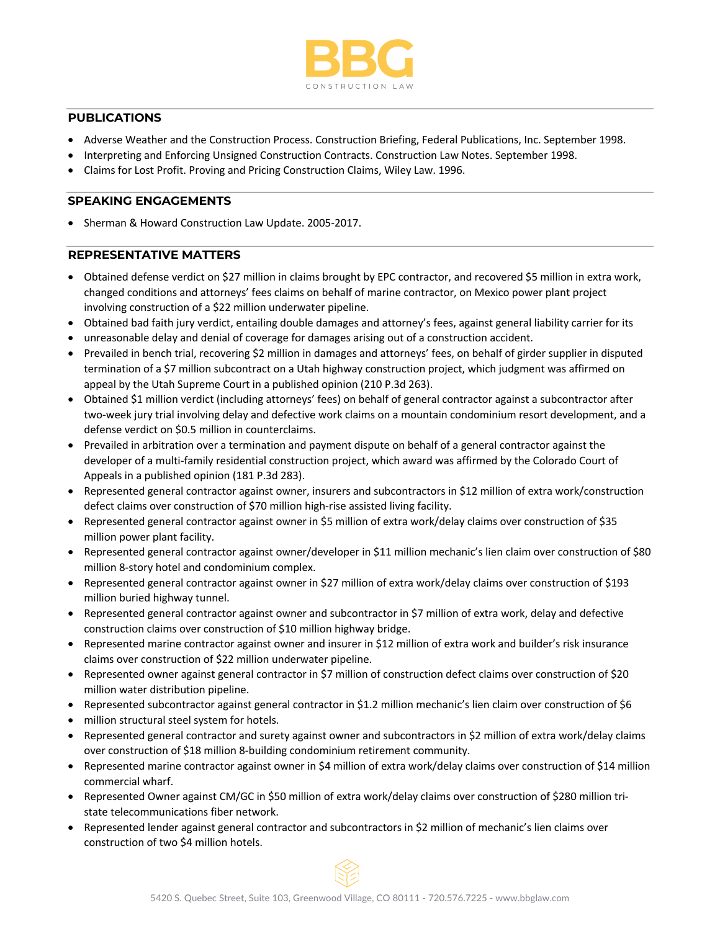

## **PUBLICATIONS**

- Adverse Weather and the Construction Process. Construction Briefing, Federal Publications, Inc. September 1998.
- Interpreting and Enforcing Unsigned Construction Contracts. Construction Law Notes. September 1998.
- Claims for Lost Profit. Proving and Pricing Construction Claims, Wiley Law. 1996.

#### **SPEAKING ENGAGEMENTS**

• Sherman & Howard Construction Law Update. 2005-2017.

## **REPRESENTATIVE MATTERS**

- Obtained defense verdict on \$27 million in claims brought by EPC contractor, and recovered \$5 million in extra work, changed conditions and attorneys' fees claims on behalf of marine contractor, on Mexico power plant project involving construction of a \$22 million underwater pipeline.
- Obtained bad faith jury verdict, entailing double damages and attorney's fees, against general liability carrier for its
- unreasonable delay and denial of coverage for damages arising out of a construction accident.
- Prevailed in bench trial, recovering \$2 million in damages and attorneys' fees, on behalf of girder supplier in disputed termination of a \$7 million subcontract on a Utah highway construction project, which judgment was affirmed on appeal by the Utah Supreme Court in a published opinion (210 P.3d 263).
- Obtained \$1 million verdict (including attorneys' fees) on behalf of general contractor against a subcontractor after two-week jury trial involving delay and defective work claims on a mountain condominium resort development, and a defense verdict on \$0.5 million in counterclaims.
- Prevailed in arbitration over a termination and payment dispute on behalf of a general contractor against the developer of a multi-family residential construction project, which award was affirmed by the Colorado Court of Appeals in a published opinion (181 P.3d 283).
- Represented general contractor against owner, insurers and subcontractors in \$12 million of extra work/construction defect claims over construction of \$70 million high-rise assisted living facility.
- Represented general contractor against owner in \$5 million of extra work/delay claims over construction of \$35 million power plant facility.
- Represented general contractor against owner/developer in \$11 million mechanic's lien claim over construction of \$80 million 8-story hotel and condominium complex.
- Represented general contractor against owner in \$27 million of extra work/delay claims over construction of \$193 million buried highway tunnel.
- Represented general contractor against owner and subcontractor in \$7 million of extra work, delay and defective construction claims over construction of \$10 million highway bridge.
- Represented marine contractor against owner and insurer in \$12 million of extra work and builder's risk insurance claims over construction of \$22 million underwater pipeline.
- Represented owner against general contractor in \$7 million of construction defect claims over construction of \$20 million water distribution pipeline.
- Represented subcontractor against general contractor in \$1.2 million mechanic's lien claim over construction of \$6
- million structural steel system for hotels.
- Represented general contractor and surety against owner and subcontractors in \$2 million of extra work/delay claims over construction of \$18 million 8-building condominium retirement community.
- Represented marine contractor against owner in \$4 million of extra work/delay claims over construction of \$14 million commercial wharf.
- Represented Owner against CM/GC in \$50 million of extra work/delay claims over construction of \$280 million tristate telecommunications fiber network.
- Represented lender against general contractor and subcontractors in \$2 million of mechanic's lien claims over construction of two \$4 million hotels.